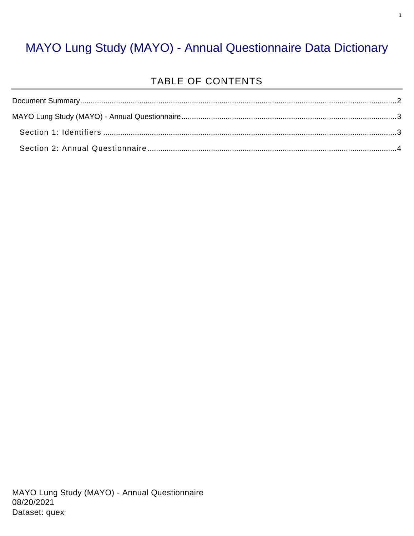#### MAYO Lung Study (MAYO) - Annual Questionnaire Data Dictionary

#### TABLE OF CONTENTS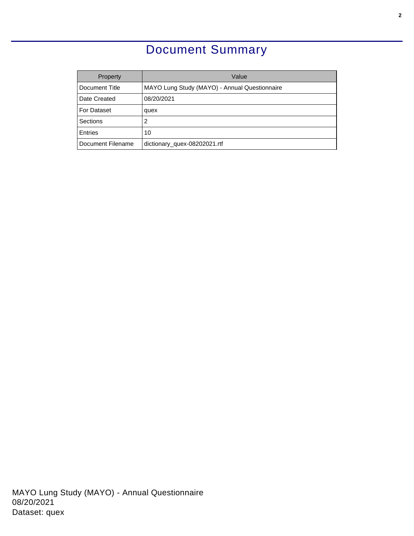### Document Summary

<span id="page-1-0"></span>

| Property          | Value                                         |
|-------------------|-----------------------------------------------|
| Document Title    | MAYO Lung Study (MAYO) - Annual Questionnaire |
| Date Created      | 08/20/2021                                    |
| For Dataset       | quex                                          |
| Sections          | 2                                             |
| Entries           | 10                                            |
| Document Filename | dictionary_quex-08202021.rtf                  |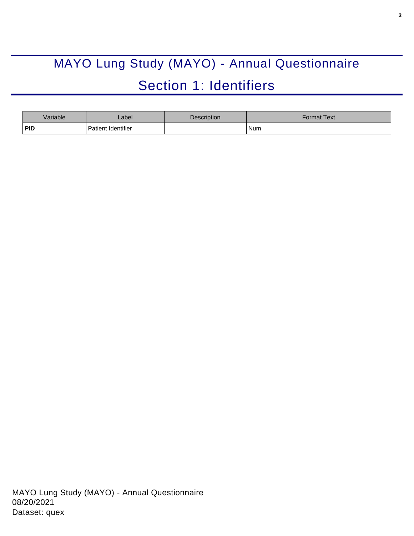# <span id="page-2-0"></span>MAYO Lung Study (MAYO) - Annual Questionnaire Section 1: Identifiers

<span id="page-2-1"></span>

| Variable   | _abel                     | <b>Description</b> | Format Text <sup>-</sup> |
|------------|---------------------------|--------------------|--------------------------|
| <b>PID</b> | <b>Patient Identifier</b> |                    | Num                      |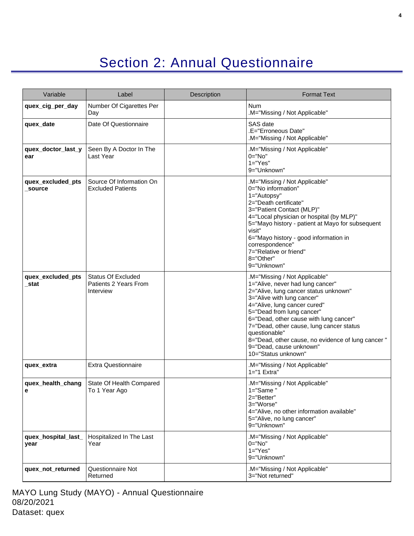## Section 2: Annual Questionnaire

<span id="page-3-0"></span>

| Variable                    | Label                                                           | Description | <b>Format Text</b>                                                                                                                                                                                                                                                                                                                                                                                                  |
|-----------------------------|-----------------------------------------------------------------|-------------|---------------------------------------------------------------------------------------------------------------------------------------------------------------------------------------------------------------------------------------------------------------------------------------------------------------------------------------------------------------------------------------------------------------------|
| quex_cig_per_day            | Number Of Cigarettes Per<br>Day                                 |             | <b>Num</b><br>M="Missing / Not Applicable"                                                                                                                                                                                                                                                                                                                                                                          |
| quex_date                   | Date Of Questionnaire                                           |             | SAS date<br>.E="Erroneous Date"<br>.M="Missing / Not Applicable"                                                                                                                                                                                                                                                                                                                                                    |
| quex_doctor_last_y<br>ear   | Seen By A Doctor In The<br>Last Year                            |             | M="Missing / Not Applicable"<br>$0 = "No"$<br>$1="Yes"$<br>9="Unknown"                                                                                                                                                                                                                                                                                                                                              |
| quex_excluded_pts<br>source | Source Of Information On<br><b>Excluded Patients</b>            |             | M="Missing / Not Applicable"<br>0="No information"<br>1="Autopsy"<br>2="Death certificate"<br>3="Patient Contact (MLP)"<br>4="Local physician or hospital (by MLP)"<br>5="Mayo history - patient at Mayo for subsequent<br>visit"<br>6="Mayo history - good information in<br>correspondence"<br>7="Relative or friend"<br>8="Other"<br>9="Unknown"                                                                 |
| quex_excluded_pts<br>stat   | <b>Status Of Excluded</b><br>Patients 2 Years From<br>Interview |             | .M="Missing / Not Applicable"<br>1="Alive, never had lung cancer"<br>2="Alive, lung cancer status unknown"<br>3="Alive with lung cancer"<br>4="Alive, lung cancer cured"<br>5="Dead from lung cancer"<br>6="Dead, other cause with lung cancer"<br>7="Dead, other cause, lung cancer status<br>questionable"<br>8="Dead, other cause, no evidence of lung cancer"<br>9="Dead, cause unknown"<br>10="Status unknown" |
| quex extra                  | <b>Extra Questionnaire</b>                                      |             | .M="Missing / Not Applicable"<br>1="1 Extra"                                                                                                                                                                                                                                                                                                                                                                        |
| quex_health_chang<br>e      | State Of Health Compared<br>To 1 Year Ago                       |             | M="Missing / Not Applicable"<br>1="Same"<br>2="Better"<br>3="Worse"<br>4="Alive, no other information available"<br>5="Alive, no lung cancer"<br>9="Unknown"                                                                                                                                                                                                                                                        |
| quex_hospital_last_<br>year | Hospitalized In The Last<br>Year                                |             | .M="Missing / Not Applicable"<br>$0 = "No"$<br>$1="Yes"$<br>9="Unknown"                                                                                                                                                                                                                                                                                                                                             |
| quex_not_returned           | Questionnaire Not<br>Returned                                   |             | .M="Missing / Not Applicable"<br>3="Not returned"                                                                                                                                                                                                                                                                                                                                                                   |